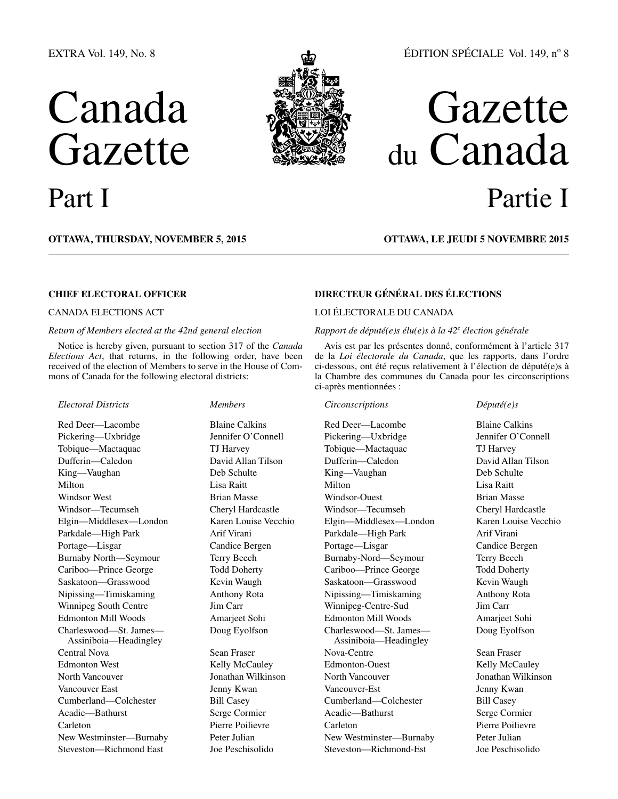# EXTRA Vol. 149, No. 8

# Canada Gazette Part I



# ÉDITION SPÉCIALE Vol. 149, nº 8

# Gazette du Canada Partie I

## **OTTAWA, Thursday, November 5, 2015**

# **OTTAWA, LE jeudi 5 novembre 2015**

# **CHIEF ELECTORAL OFFICER**

### CANADA ELECTIONS ACT

#### *Return of Members elected at the 42nd general election*

Notice is hereby given, pursuant to section 317 of the *Canada Elections Act*, that returns, in the following order, have been received of the election of Members to serve in the House of Commons of Canada for the following electoral districts:

#### *Electoral Districts Members*

Red Deer—Lacombe Blaine Calkins Pickering—Uxbridge Jennifer O'Connell Tobique—Mactaquac TJ Harvey Dufferin—Caledon David Allan Tilson King—Vaughan Deb Schulte Milton Lisa Raitt Windsor West **Brian Masse** Windsor—Tecumseh Cheryl Hardcastle Elgin—Middlesex—London Karen Louise Vecchio Parkdale—High Park Arif Virani Portage—Lisgar Candice Bergen Burnaby North—Seymour Terry Beech Cariboo—Prince George Todd Doherty Saskatoon—Grasswood Kevin Waugh Nipissing—Timiskaming Anthony Rota Winnipeg South Centre Jim Carr Edmonton Mill Woods Amarieet Sohi Charleswood—St. James— Assiniboia—Headingley Central Nova Sean Fraser Edmonton West Kelly McCauley North Vancouver Jonathan Wilkinson Vancouver East **Jenny Kwan** Cumberland—Colchester Bill Casey Acadie—Bathurst Serge Cormier Carleton Pierre Poilievre New Westminster—Burnaby Peter Julian Steveston—Richmond East Joe Peschisolido

Doug Eyolfson

# **DIRECTEUR GÉNÉRAL DES ÉLECTIONS**

# LOI ÉLECTORALE DU CANADA

# *Rapport de député(e)s élu(e)s à la 42e élection générale*

Avis est par les présentes donné, conformément à l'article 317 de la *Loi électorale du Canada*, que les rapports, dans l'ordre ci-dessous, ont été reçus relativement à l'élection de député(e)s à la Chambre des communes du Canada pour les circonscriptions ci-après mentionnées :

# *Circonscriptions Député(e)s*

Red Deer—Lacombe Blaine Calkins Pickering—Uxbridge Jennifer O'Connell Tobique—Mactaquac TJ Harvey Dufferin—Caledon David Allan Tilson King—Vaughan Deb Schulte Milton Lisa Raitt Windsor-Ouest Brian Masse Windsor—Tecumseh Cheryl Hardcastle Elgin—Middlesex—London Karen Louise Vecchio Parkdale—High Park Arif Virani Portage—Lisgar Candice Bergen Burnaby-Nord—Seymour Terry Beech Cariboo—Prince George Todd Doherty Saskatoon—Grasswood Kevin Waugh Nipissing—Timiskaming Anthony Rota Winnipeg-Centre-Sud Jim Carr Edmonton Mill Woods Amarjeet Sohi Charleswood—St. James— Assiniboia—Headingley Nova-Centre Sean Fraser Edmonton-Ouest Kelly McCauley North Vancouver Jonathan Wilkinson Vancouver-Est Jenny Kwan Cumberland—Colchester Bill Casey Acadie—Bathurst Serge Cormier Carleton Pierre Poilievre New Westminster—Burnaby Peter Julian Steveston—Richmond-Est Joe Peschisolido

Doug Eyolfson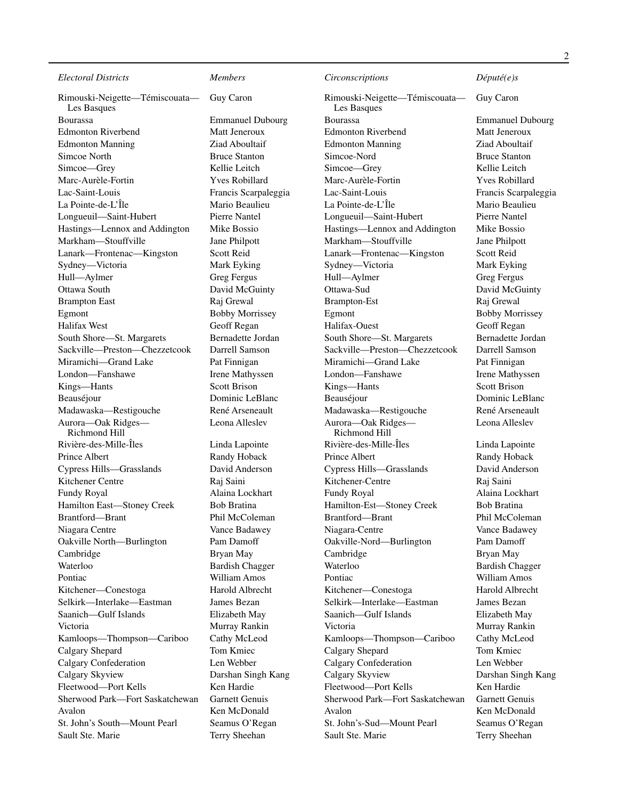Rimouski-Neigette—Témiscouata— Les Basques Bourassa Emmanuel Dubourg Edmonton Riverbend Matt Jeneroux Edmonton Manning Ziad Aboultaif Simcoe North Bruce Stanton Simcoe—Grey Kellie Leitch Marc-Aurèle-Fortin Yves Robillard Lac-Saint-Louis Francis Scarpaleggia La Pointe-de-L'Île Mario Beaulieu Longueuil—Saint-Hubert Pierre Nantel Hastings—Lennox and Addington Mike Bossio Markham—Stouffville Jane Philpott Lanark—Frontenac—Kingston Scott Reid Sydney—Victoria Mark Eyking Hull—Aylmer Greg Fergus Ottawa South David McGuinty Brampton East Raj Grewal Egmont Bobby Morrissey Halifax West Geoff Regan South Shore—St. Margarets Bernadette Jordan Sackville—Preston—Chezzetcook Darrell Samson Miramichi—Grand Lake Pat Finnigan London—Fanshawe Irene Mathyssen Kings—Hants Scott Brison Beauséjour Dominic LeBlanc Madawaska—Restigouche René Arseneault Aurora—Oak Ridges— Richmond Hill Rivière-des-Mille-Îles Linda Lapointe Prince Albert Randy Hoback Cypress Hills—Grasslands David Anderson Kitchener Centre Raj Saini Fundy Royal Alaina Lockhart Hamilton East-Stoney Creek Bob Bratina Brantford—Brant Phil McColeman Niagara Centre Vance Badawey Oakville North—Burlington Pam Damoff Cambridge Bryan May Waterloo Bardish Chagger Pontiac William Amos Kitchener—Conestoga Harold Albrecht Selkirk—Interlake—Eastman James Bezan Saanich—Gulf Islands Elizabeth May Victoria Murray Rankin Kamloops—Thompson—Cariboo Cathy McLeod Calgary Shepard Tom Kmiec Calgary Confederation Len Webber Calgary Skyview Darshan Singh Kang Fleetwood—Port Kells Ken Hardie Sherwood Park—Fort Saskatchewan Garnett Genuis Avalon Ken McDonald St. John's South—Mount Pearl Seamus O'Regan Sault Ste. Marie Terry Sheehan

Guy Caron

Leona Alleslev

# *Circonscriptions Député(e)s*

Rimouski-Neigette—Témiscouata— Les Basques Bourassa Emmanuel Dubourg Edmonton Riverbend Matt Jeneroux Edmonton Manning Ziad Aboultaif Simcoe-Nord Bruce Stanton Simcoe—Grey Kellie Leitch Marc-Aurèle-Fortin Yves Robillard Lac-Saint-Louis Francis Scarpaleggia La Pointe-de-L'Île Mario Beaulieu Longueuil—Saint-Hubert Pierre Nantel Hastings—Lennox and Addington Mike Bossio Markham—Stouffville Jane Philpott Lanark—Frontenac—Kingston Scott Reid Sydney—Victoria Mark Eyking Hull—Aylmer Greg Fergus Ottawa-Sud<br>
David McGuinty Brampton-Est Raj Grewal Egmont Bobby Morrissey Halifax-Ouest Geoff Regan South Shore—St. Margarets Bernadette Jordan Sackville—Preston—Chezzetcook Darrell Samson Miramichi—Grand Lake Pat Finnigan London—Fanshawe Irene Mathyssen Kings—Hants Scott Brison Beauséjour Dominic LeBlanc Madawaska—Restigouche René Arseneault Aurora—Oak Ridges— Richmond Hill Rivière-des-Mille-Îles Linda Lapointe Prince Albert Randy Hoback Cypress Hills—Grasslands David Anderson Kitchener-Centre Raj Saini Fundy Royal Alaina Lockhart Hamilton-Est-Stoney Creek Bob Bratina Brantford—Brant Phil McColeman Niagara-Centre Vance Badawey Oakville-Nord—Burlington Pam Damoff Cambridge Bryan May Waterloo Bardish Chagger Pontiac William Amos Kitchener—Conestoga Harold Albrecht Selkirk—Interlake—Eastman James Bezan Saanich—Gulf Islands Elizabeth May Victoria Murray Rankin Kamloops—Thompson—Cariboo Cathy McLeod Calgary Shepard Tom Kmiec Calgary Confederation Len Webber Calgary Skyview Darshan Singh Kang Fleetwood—Port Kells Ken Hardie Sherwood Park—Fort Saskatchewan Garnett Genuis Avalon Ken McDonald St. John's-Sud—Mount Pearl Seamus O'Regan Sault Ste. Marie Terry Sheehan

Guy Caron

Leona Alleslev